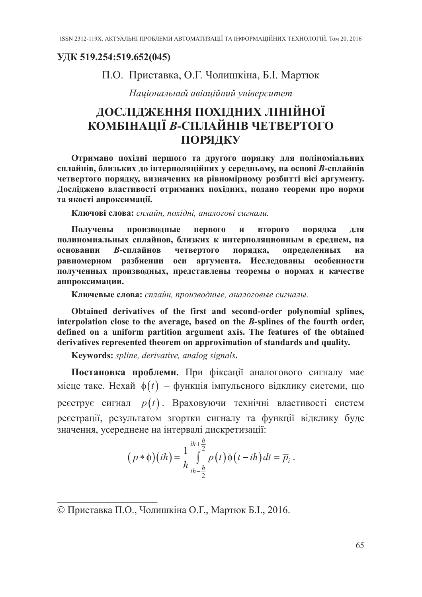## УДК 519.254:519.652(045)

## П.О. Приставка, О.Г. Чолишкіна, Б.І. Мартюк

Національний авіаційний університет

## ДОСЛІДЖЕННЯ ПОХІДНИХ ЛІНІЙНОЇ КОМБІНАЦІЇ В-СПЛАЙНІВ ЧЕТВЕРТОГО ПОРЯДКУ

Отримано похідні першого та другого порядку для поліноміальних сплайнів, близьких до інтерполяційних у середньому, на основі В-сплайнів четвертого порядку, визначених на рівномірному розбитті вісі аргументу. Досліджено властивості отриманих похідних, подано теореми про норми та якості апроксимації.

Ключові слова: сплайн, похідні, аналогові сигнали.

первого  $\mathbf{M}$ второго Получены производные порядка ДЛЯ полиномиальных сплайнов, близких к интерполяционным в среднем, на В-сплайнов четвертого порядка, определенных основании на равномерном разбиении оси аргумента. Исследованы особенности полученных производных, представлены теоремы о нормах и качестве аппроксимации.

Ключевые слова: сплайн, производные, аналоговые сигналы.

Obtained derivatives of the first and second-order polynomial splines, interpolation close to the average, based on the B-splines of the fourth order, defined on a uniform partition argument axis. The features of the obtained derivatives represented theorem on approximation of standards and quality.

Keywords: spline, derivative, analog signals.

Постановка проблеми. При фіксації аналогового сигналу має місце таке. Нехай  $\phi(t)$  – функція імпульсного відклику системи, що реєструє сигнал  $p(t)$ . Враховуючи технічні властивості систем реєстрації, результатом згортки сигналу та функції відклику буде значення, усереднене на інтервалі дискретизації:

$$
(p * \phi)(ih) = \frac{1}{h} \int_{ih - \frac{h}{2}}^{ih + \frac{h}{2}} p(t) \phi(t - ih) dt = \overline{p}_i.
$$

<sup>©</sup> Приставка П.О., Чолишкіна О.Г., Мартюк Б.І., 2016.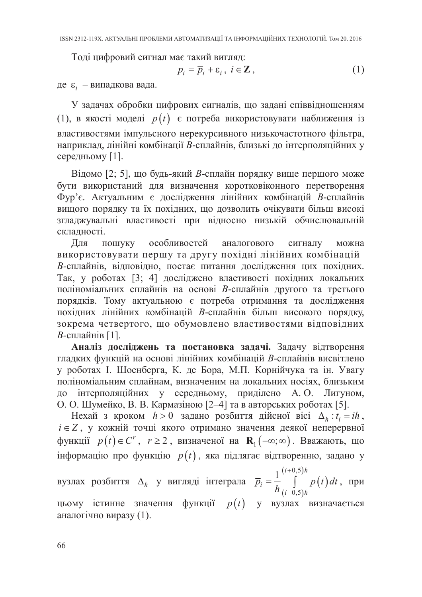Тоді цифровий сигнал має такий вигляд:

$$
p_i = \overline{p}_i + \varepsilon_i, \ i \in \mathbb{Z}, \tag{1}
$$

де  $\varepsilon_i$  – випадкова вада.

У задачах обробки цифрових сигналів, що задані співвідношенням (1), в якості моделі  $p(t)$  є потреба використовувати наближення із властивостями імпульсного нерекурсивного низькочастотного фільтра, наприклад, лінійні комбінації В-сплайнів, близькі до інтерполяційних у середньому [1].

Відомо [2; 5], що будь-який В-сплайн порядку вище першого може бути використаний для визначення коротковіконного перетворення Фур'є. Актуальним є дослідження лінійних комбінацій В-сплайнів вищого порядку та їх похідних, що дозволить очікувати більш високі згладжувальні властивості при відносно низькій обчислювальній складності.

Для пошуку особливостей аналогового сигналу можна використовувати першу та другу похідні лінійних комбінацій В-сплайнів, відповідно, постає питання дослідження цих похідних. Так, у роботах [3; 4] досліджено властивості похідних локальних поліноміальних сплайнів на основі В-сплайнів другого та третього порядків. Тому актуальною є потреба отримання та дослідження похідних лінійних комбінацій В-сплайнів більш високого порядку, зокрема четвертого, що обумовлено властивостями відповідних В-сплайнів [1].

Аналіз досліджень та постановка задачі. Задачу відтворення гладких функцій на основі лінійних комбінацій В-сплайнів висвітлено у роботах І. Шоенберга, К. де Бора, М.П. Корнійчука та ін. Увагу поліноміальним сплайнам, визначеним на локальних носіях, близьким до інтерполяційних у середньому, приділено А.О. Лигуном,

О. О. Шумейко, В. В. Кармазіною [2–4] та в авторських роботах [5].<br>Нехай з кроком  $h > 0$  задано розбиття дійсної вісі  $\Delta_h : t_i = ih$ ,<br> $i \in Z$ , у кожній точці якого отримано значення деякої неперервної функції  $p(t) \in C^r$ ,  $r \ge 2$ , визначеної на  $\mathbf{R}_1(-\infty; \infty)$ . Вважають, що інформацію про функцію  $p(t)$ , яка підлягає відтворенню, задано у

вузлах розбиття  $\Delta_h$  у вигляді інтеграла  $\overline{p}_i = \frac{1}{h} \int_{(i-0,5)h}^{(i+0,5)h} p(t) dt$ , при цьому істинне значення функції  $p(t)$  у вузлах визначається аналогічно виразу (1).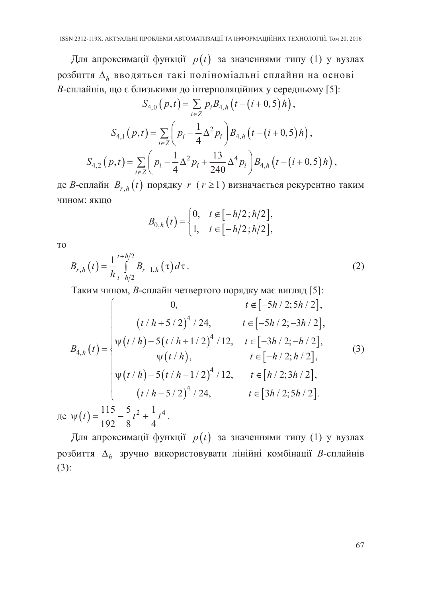Для апроксимації функції  $p(t)$  за значеннями типу (1) у вузлах розбиття  $\Delta_h$  вводяться такі поліноміальні сплайни на основі В-сплайнів, що є близькими до інтерполяційних у середньому [5]:

$$
S_{4,0}(p,t) = \sum_{i \in \mathbb{Z}} p_i B_{4,h} (t - (i + 0,5)h),
$$
  

$$
S_{4,1}(p,t) = \sum_{i \in \mathbb{Z}} \left( p_i - \frac{1}{4} \Delta^2 p_i \right) B_{4,h} (t - (i + 0,5)h),
$$
  

$$
S_{4,2}(p,t) = \sum_{i \in \mathbb{Z}} \left( p_i - \frac{1}{4} \Delta^2 p_i + \frac{13}{240} \Delta^4 p_i \right) B_{4,h} (t - (i + 0,5)h),
$$

де В-сплайн  $B_{r,h}(t)$  порядку  $r (r \ge 1)$  визначається рекурентно таким ЧИНОМ: ЯКШО

$$
B_{0,h}(t) = \begin{cases} 0, & t \in [-h/2; h/2], \\ 1, & t \in [-h/2; h/2], \end{cases}
$$

T<sub>O</sub>

де

$$
B_{r,h}(t) = \frac{1}{h} \int_{t-h/2}^{t+h/2} B_{r-1,h}(\tau) d\tau.
$$
 (2)

Таким чином, В-сплайн четвертого порядку має вигляд [5]:

$$
B_{4,h}(t) = \begin{cases} 0, & t \notin [-5h/2; 5h/2], \\ (t/h + 5/2)^{4}/24, & t \in [-5h/2; -3h/2], \\ \psi(t/h) - 5(t/h + 1/2)^{4}/12, & t \in [-3h/2; -h/2], \\ \psi(t/h), & t \in [-h/2; h/2], \\ \psi(t/h) - 5(t/h - 1/2)^{4}/12, & t \in [h/2; 3h/2], \\ (t/h - 5/2)^{4}/24, & t \in [3h/2; 5h/2]. \end{cases}
$$
(3)  

$$
\psi(t) = \frac{115}{192} - \frac{5}{8}t^{2} + \frac{1}{4}t^{4}.
$$

Для апроксимації функції  $p(t)$  за значеннями типу (1) у вузлах розбиття  $\Delta_h$  зручно використовувати лінійні комбінації В-сплайнів  $(3)$ :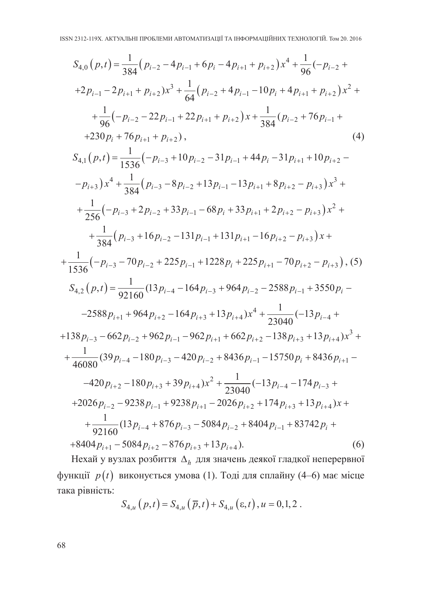$$
S_{4,0}(p,t) = \frac{1}{384}(p_{i-2} - 4p_{i-1} + 6p_i - 4p_{i+1} + p_{i+2})x^4 + \frac{1}{96}(-p_{i-2} +
$$
  
+2p<sub>i-1</sub> - 2p<sub>i+1</sub> + p<sub>i+2</sub>)x<sup>3</sup> +  $\frac{1}{64}(p_{i-2} + 4p_{i-1} - 10p_i + 4p_{i+1} + p_{i+2})x^2 +$   
+  $\frac{1}{96}(-p_{i-2} - 22p_{i-1} + 22p_{i+1} + p_{i+2})x + \frac{1}{384}(p_{i-2} + 76p_{i-1} +$   
+230p<sub>i</sub> + 76p<sub>i+1</sub> + p<sub>i+2</sub>), (4)

$$
S_{4,1}(p,t) = \frac{1}{1536}(-p_{i-3} + 10p_{i-2} - 31p_{i-1} + 44p_i - 31p_{i+1} + 10p_{i+2} -
$$
  
\n
$$
-p_{i+3})x^4 + \frac{1}{384}(p_{i-3} - 8p_{i-2} + 13p_{i-1} - 13p_{i+1} + 8p_{i+2} - p_{i+3})x^3 +
$$
  
\n
$$
+ \frac{1}{256}(-p_{i-3} + 2p_{i-2} + 33p_{i-1} - 68p_i + 33p_{i+1} + 2p_{i+2} - p_{i+3})x^2 +
$$
  
\n
$$
+ \frac{1}{384}(p_{i-3} + 16p_{i-2} - 131p_{i-1} + 131p_{i+1} - 16p_{i+2} - p_{i+3})x +
$$
  
\n
$$
+ \frac{1}{1536}(-p_{i-3} - 70p_{i-2} + 225p_{i-1} + 1228p_i + 225p_{i+1} - 70p_{i+2} - p_{i+3}),
$$
 (5)

$$
S_{4,2}(p,t) = \frac{1}{92160} (13p_{i-4} - 164p_{i-3} + 964p_{i-2} - 2588p_{i-1} + 3550p_i -
$$

 $-2588p_{i+1} + 964p_{i+2} - 164p_{i+3} + 13p_{i+4}x^{4} + \frac{1}{23040}(-13p_{i-4} +$  $+138p_{i-3}-662p_{i-2}+962p_{i-1}-962p_{i+1}+662p_{i+2}-138p_{i+3}+13p_{i+4})x^3+$  $+\frac{1}{46080}(39p_{i-4}-180p_{i-3}-420p_{i-2}+8436p_{i-1}-15750p_i+8436p_{i+1}-$ 

$$
-420p_{i+2} - 180p_{i+3} + 39p_{i+4})x^{2} + \frac{1}{23040}(-13p_{i-4} - 174p_{i-3} +
$$
  
+2026p<sub>i-2</sub> - 9238p<sub>i-1</sub> + 9238p<sub>i+1</sub> - 2026p<sub>i+2</sub> + 174p<sub>i+3</sub> + 13p<sub>i+4</sub>)x +  
+ 
$$
\frac{1}{92160}(13p_{i-4} + 876p_{i-3} - 5084p_{i-2} + 8404p_{i-1} + 83742p_{i} +
$$
  
+8404p<sub>i+1</sub> - 5084p<sub>i+2</sub> - 876p<sub>i+3</sub> + 13p<sub>i+4</sub>). (6)

Нехай у вузлах розбиття  $\Delta_h$  для значень деякої гладкої неперервної функції  $p(t)$  виконується умова (1). Тоді для сплайну (4-6) має місце така рівність:

$$
S_{4,u}(p,t) = S_{4,u}(\bar{p},t) + S_{4,u}(\epsilon,t), u = 0,1,2.
$$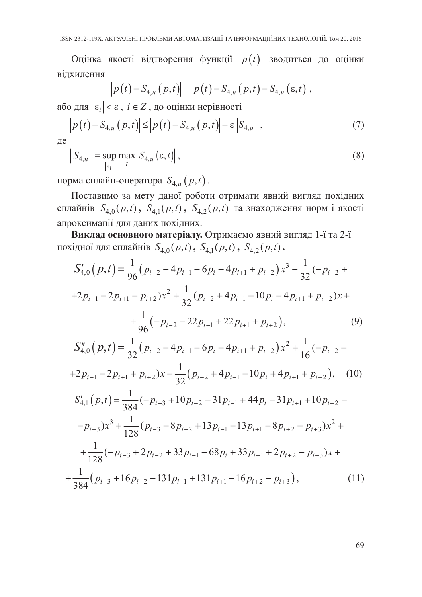Оцінка якості відтворення функції  $p(t)$  зводиться до оцінки вілхилення

$$
\left|p(t)-S_{4,u}(p,t)\right|=\left|p(t)-S_{4,u}(\overline{p},t)-S_{4,u}(\varepsilon,t)\right|,
$$

або для  $|\varepsilon_i| < \varepsilon$ ,  $i \in Z$ , до оцінки нерівності

$$
\left| p(t) - S_{4,u}(p,t) \right| \leq \left| p(t) - S_{4,u}(\overline{p},t) \right| + \varepsilon \left\| S_{4,u} \right\|,
$$
\n<sup>(7)</sup>

де

$$
|S_{4,u}| = \sup_{|\varepsilon_i|} \max_{t} |S_{4,u}(\varepsilon, t)|,
$$
 (8)

норма сплайн-оператора  $S_{4,u}(p,t)$ .

Поставимо за мету даної роботи отримати явний вигляд похідних сплайнів  $S_{4,0}(p,t)$ ,  $S_{4,1}(p,t)$ ,  $S_{4,2}(p,t)$  та знаходження норм і якості апроксимації для даних похідних.

Виклад основного матеріалу. Отримаємо явний вигляд 1-ї та 2-ї похідної для сплайнів  $S_{4,0}(p,t)$ ,  $S_{4,1}(p,t)$ ,  $S_{4,2}(p,t)$ .

$$
S'_{4,0}(p,t) = \frac{1}{96}(p_{i-2} - 4p_{i-1} + 6p_i - 4p_{i+1} + p_{i+2})x^3 + \frac{1}{32}(-p_{i-2} +
$$
  
+2p<sub>i-1</sub> - 2p<sub>i+1</sub> + p<sub>i+2</sub>)x<sup>2</sup> +  $\frac{1}{32}(p_{i-2} + 4p_{i-1} - 10p_i + 4p_{i+1} + p_{i+2})x +$   
+  $\frac{1}{96}(-p_{i-2} - 22p_{i-1} + 22p_{i+1} + p_{i+2}),$  (9)  

$$
S''_{4,0}(p,t) = \frac{1}{32}(p_{i-2} - 4p_{i-1} + 6p_i - 4p_{i+1} + p_{i+2})x^2 + \frac{1}{16}(-p_{i-2} +
$$
  
+2p<sub>i-1</sub> - 2p<sub>i+1</sub> + p<sub>i+2</sub>)x +  $\frac{1}{32}(p_{i-2} + 4p_{i-1} - 10p_i + 4p_{i+1} + p_{i+2}),$  (10)  

$$
S'_{4,1}(p,t) = \frac{1}{384}(-p_{i-3} + 10p_{i-2} - 31p_{i-1} + 44p_i - 31p_{i+1} + 10p_{i+2} -
$$
  
-p<sub>i+3</sub>)x<sup>3</sup> +  $\frac{1}{128}(p_{i-3} - 8p_{i-2} + 13p_{i-1} - 13p_{i+1} + 8p_{i+2} - p_{i+3})x^2 +$   
+  $\frac{1}{128}(-p_{i-3} + 2p_{i-2} + 33p_{i-1} - 68p_i + 33p_{i+1} + 2p_{i+2} - p_{i+3})x +$   
+  $\frac{1}{384}(p_{i-3} + 16p_{i-2} - 131p_{i-1} + 131p_{i+1} - 16p_{i+2} - p_{i+3}),$  (11)

69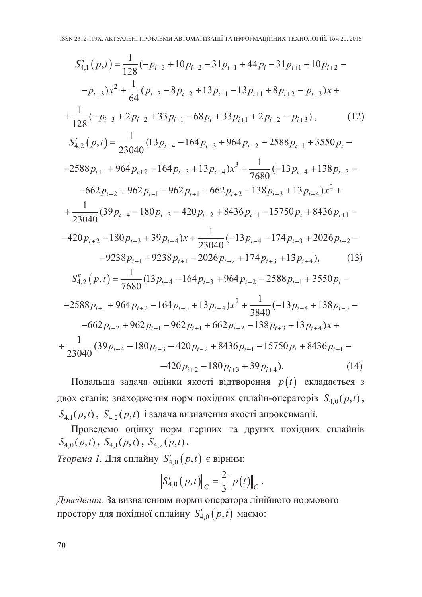$$
S_{4,1}''(p,t) = \frac{1}{128}(-p_{i-3} + 10p_{i-2} - 31p_{i-1} + 44p_i - 31p_{i+1} + 10p_{i+2} -
$$
  
\n
$$
-p_{i+3})x^2 + \frac{1}{64}(p_{i-3} - 8p_{i-2} + 13p_{i-1} - 13p_{i+1} + 8p_{i+2} - p_{i+3})x +
$$
  
\n
$$
+ \frac{1}{128}(-p_{i-3} + 2p_{i-2} + 33p_{i-1} - 68p_i + 33p_{i+1} + 2p_{i+2} - p_{i+3}),
$$
(12)  
\n
$$
S_{4,2}'(p,t) = \frac{1}{23040}(13p_{i-4} - 164p_{i-3} + 964p_{i-2} - 2588p_{i-1} + 3550p_i -
$$
  
\n
$$
-2588p_{i+1} + 964p_{i+2} - 164p_{i+3} + 13p_{i+4})x^3 + \frac{1}{7680}(-13p_{i-4} + 138p_{i-3} -
$$
  
\n
$$
-662p_{i-2} + 962p_{i-1} - 962p_{i+1} + 662p_{i+2} - 138p_{i+3} + 13p_{i+4})x^2 +
$$
  
\n
$$
+ \frac{1}{23040}(39p_{i-4} - 180p_{i-3} - 420p_{i-2} + 8436p_{i-1} - 15750p_i + 8436p_{i+1} -
$$
  
\n
$$
-420p_{i+2} - 180p_{i+3} + 39p_{i+4})x + \frac{1}{23040}(-13p_{i-4} - 174p_{i-3} + 2026p_{i-2} -
$$
  
\n
$$
-9238p_{i-1} + 9238p_{i+1} - 2026p_{i+2} + 174p_{i+3} + 13p_{i+4}),
$$
(13)  
\n
$$
S_{
$$

Подальша задача оцінки якості відтворення  $p(t)$  складається з двох етапів: знаходження норм похідних сплайн-операторів  $S_{4,0}(p,t)$ ,  $S_{4,1}(p,t)$ ,  $S_{4,2}(p,t)$  і задача визначення якості апроксимації.

Проведемо оцінку норм перших та других похідних сплайнів  $S_{4,0}(p,t)$ ,  $S_{4,1}(p,t)$ ,  $S_{4,2}(p,t)$ .

*Теорема 1.* Для сплайну  $S'_{4,0}(p,t)$  є вірним:

$$
\left\|S'_{4,0}(p,t)\right\|_{C}=\frac{2}{3}\left\|p(t)\right\|_{C}.
$$

Доведення. За визначенням норми оператора лінійного нормового простору для похідної сплайну  $S'_{4,0}(p,t)$  маємо: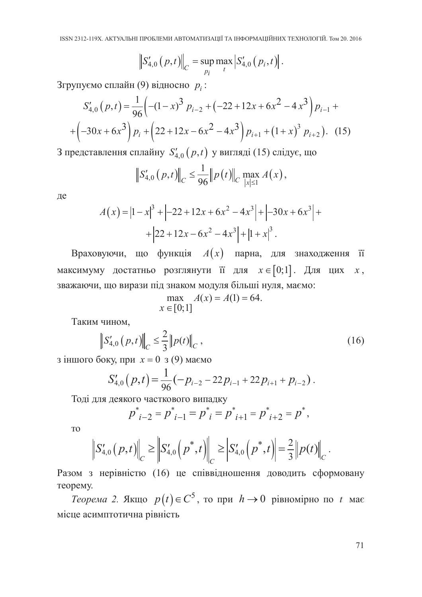$$
\left\| S'_{4,0} (p,t) \right\|_C = \sup_{p_i} \max_{t} \left| S'_{4,0} (p_i,t) \right|.
$$

Згрупуємо сплайн (9) відносно  $p_i$ :

$$
S'_{4,0}(p,t) = \frac{1}{96} \left( -(1-x)^3 p_{i-2} + (-22+12x+6x^2-4x^3) p_{i-1} + (-30x+6x^3) p_i + (22+12x-6x^2-4x^3) p_{i+1} + (1+x)^3 p_{i+2} \right).
$$
 (15)

3 представлення сплайну  $S'_{4,0}(p,t)$  у вигляді (15) слідує, що

$$
\|S'_{4,0}(p,t)\|_{C} \leq \frac{1}{96} \|p(t)\|_{C} \max_{|x|\leq 1} A(x),
$$

де

$$
A(x) = |1 - x|3 + |-22 + 12x + 6x2 - 4x3| + |-30x + 6x3| ++ |22 + 12x - 6x2 - 4x3| + |1 + x|3.
$$

Враховуючи, що функція  $A(x)$  парна, для знаходження її максимуму достатньо розглянути її для  $x \in [0,1]$ . Для цих  $x$ , зважаючи, що вирази під знаком модуля більші нуля, маємо:

$$
\max_{x \in [0,1]} A(x) = A(1) = 64.
$$

Таким чином.

$$
\left\|S_{4,0}'\left(p,t\right)\right\|_{C} \leq \frac{2}{3} \left\|p(t)\right\|_{C},\tag{16}
$$

з іншого боку, при  $x = 0$  з (9) маємо

$$
S'_{4,0}(p,t) = \frac{1}{96}(-p_{i-2}-22p_{i-1}+22p_{i+1}+p_{i-2}).
$$

Тоді для деякого часткового випадку

$$
p^*_{i-2} = p^*_{i-1} = p^*_{i} = p^*_{i+1} = p^*_{i+2} = p^*,
$$

**TO** 

$$
\left\|S_{4,0}'(p,t)\right\|_{C} \geq \left\|S_{4,0}'\left(p^*,t\right)\right\|_{C} \geq \left|S_{4,0}'\left(p^*,t\right)\right| = \frac{2}{3}\left\|p(t)\right\|_{C}.
$$

Разом з нерівністю (16) це співвідношення доводить сформовану теорему.

*Теорема* 2. Якщо  $p(t) \in C^5$ , то при  $h \to 0$  рівномірно по *t* має місце асимптотична рівність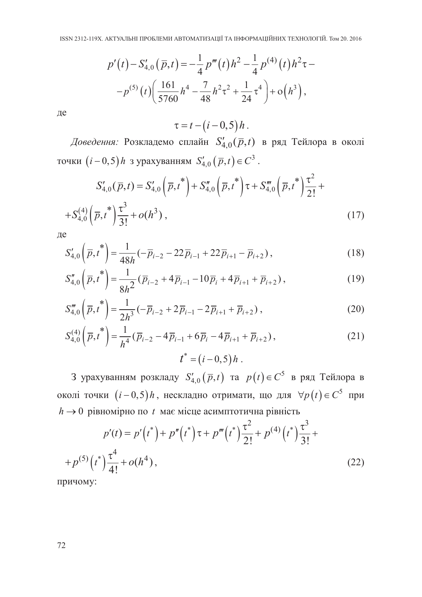$$
p'(t) - S'_{4,0}(\bar{p}, t) = -\frac{1}{4}p'''(t)h^2 - \frac{1}{4}p^{(4)}(t)h^2\tau -
$$

$$
-p^{(5)}(t)\left(\frac{161}{5760}h^4 - \frac{7}{48}h^2\tau^2 + \frac{1}{24}\tau^4\right) + o(h^3),
$$

де

 $\tau = t - (i - 0.5) h$ .

Доведення: Розкладемо сплайн $S_{4,0}'(\overline{p},t)$  в ряд Тейлора в околі точки  $(i-0,5)h$  з урахуванням  $S'_{4,0}(\bar{p},t) \in C^3$ .

$$
S'_{4,0}(\overline{p},t) = S'_{4,0}(\overline{p},t^*) + S''_{4,0}(\overline{p},t^*)\tau + S'''_{4,0}(\overline{p},t^*)\frac{\tau^2}{2!} +
$$
  
+
$$
S^{(4)}_{4,0}(\overline{p},t^*)\frac{\tau^3}{3!} + o(h^3),
$$
 (17)

де

$$
S'_{4,0}\left(\overline{p},t^*\right) = \frac{1}{48h}(-\overline{p}_{i-2} - 22\overline{p}_{i-1} + 22\overline{p}_{i+1} - \overline{p}_{i+2}),
$$
\n(18)

$$
S_{4,0}''\left(\overline{p},t^*\right) = \frac{1}{8h^2}(\overline{p}_{i-2} + 4\overline{p}_{i-1} - 10\overline{p}_i + 4\overline{p}_{i+1} + \overline{p}_{i+2}),\tag{19}
$$

$$
S_{4,0}''' \left( \overline{p}, t^* \right) = \frac{1}{2h^3} \left( -\overline{p}_{i-2} + 2\overline{p}_{i-1} - 2\overline{p}_{i+1} + \overline{p}_{i+2} \right), \tag{20}
$$

$$
S_{4,0}^{(4)}\left(\overline{p},t^{*}\right) = \frac{1}{h^{4}}\left(\overline{p}_{i-2} - 4\overline{p}_{i-1} + 6\overline{p}_{i} - 4\overline{p}_{i+1} + \overline{p}_{i+2}\right),
$$
\n
$$
t^{*} = (i-0,5)h.
$$
\n(21)

3 урахуванням розкладу $S'_{4,0}\left(\overline{p},t\right)$ та  $p\left(t\right)\in C^{5}$ в ряд Тейлора в околі точки  $(i-0,5)h$ , нескладно отримати, що для  $\forall p(t) \in C^5$  при  $h \rightarrow 0$  рівномірно по  $t$  має місце асимптотична рівність

$$
p'(t) = p'\left(t^*\right) + p''\left(t^*\right)\tau + p'''\left(t^*\right)\frac{\tau^2}{2!} + p^{(4)}\left(t^*\right)\frac{\tau^3}{3!} +
$$
  
+ 
$$
p^{(5)}\left(t^*\right)\frac{\tau^4}{4!} + o(h^4),
$$
 (22)

причому: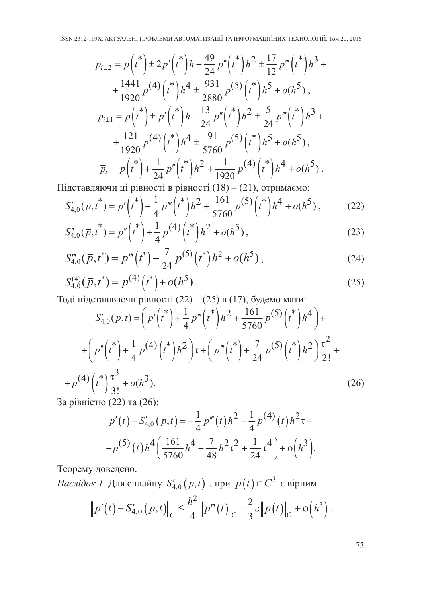$$
\overline{p}_{i\pm 2} = p(t^*) \pm 2p'(t^*) h + \frac{49}{24} p''(t^*) h^2 \pm \frac{17}{12} p'''(t^*) h^3 + \n+ \frac{1441}{1920} p^{(4)}(t^*) h^4 \pm \frac{931}{2880} p^{(5)}(t^*) h^5 + o(h^5), \n\overline{p}_{i\pm 1} = p(t^*) \pm p'(t^*) h + \frac{13}{24} p''(t^*) h^2 \pm \frac{5}{24} p'''(t^*) h^3 + \n+ \frac{121}{1920} p^{(4)}(t^*) h^4 \pm \frac{91}{5760} p^{(5)}(t^*) h^5 + o(h^5), \n\overline{p}_i = p(t^*) + \frac{1}{24} p''(t^*) h^2 + \frac{1}{1920} p^{(4)}(t^*) h^4 + o(h^5).
$$

Підставляючи ці рівності в рівності (18) - (21), отримаємо:

$$
S'_{4,0}(\overline{p},t^*) = p'\left(t^*\right) + \frac{1}{4}p''' \left(t^*\right)h^2 + \frac{161}{5760}p^{(5)}\left(t^*\right)h^4 + o(h^5),\tag{22}
$$

$$
S_{4,0}''(\overline{p},t^*) = p''\left(t^*\right) + \frac{1}{4}p^{(4)}\left(t^*\right)h^2 + o(h^5),\tag{23}
$$

$$
S_{4,0}'''(\bar{p},t^*) = p'''(t^*) + \frac{7}{24}p^{(5)}(t^*)h^2 + o(h^5), \qquad (24)
$$

$$
S_{4,0}^{(4)}(\bar{p},t^*) = p^{(4)}(t^*) + o(h^5).
$$
 (25)

Тоді підставляючи рівності (22) - (25) в (17), будемо мати:

$$
S'_{4,0}(\overline{p},t) = \left(p'\binom{*}{t} + \frac{1}{4}p'''\binom{*}{t}h^2 + \frac{161}{5760}p^{(5)}\binom{*}{t}h^4\right) +
$$
  
+ 
$$
\left(p''\binom{*}{t} + \frac{1}{4}p^{(4)}\binom{*}{t}h^2\right)\tau + \left(p'''\binom{*}{t} + \frac{7}{24}p^{(5)}\binom{*}{t}h^2\right)\frac{\tau^2}{2!} +
$$
  
+ 
$$
p^{(4)}\binom{*}{t} \frac{\tau^3}{3!} + o(h^3).
$$
 (26)

За рівністю (22) та (26):

$$
p'(t) - S'_{4,0}(\bar{p}, t) = -\frac{1}{4} p'''(t) h^2 - \frac{1}{4} p^{(4)}(t) h^2 \tau -
$$
  
-
$$
-p^{(5)}(t) h^4 \left( \frac{161}{5760} h^4 - \frac{7}{48} h^2 \tau^2 + \frac{1}{24} \tau^4 \right) + o(h^3).
$$

Теорему доведено.

*Наслідок 1*. Для сплайну  $S'_{4,0}(p,t)$ , при  $p(t) \in C^3$  є вірним

$$
\|p'(t) - S'_{4,0}(\bar{p},t)\|_{C} \leq \frac{h^2}{4} \|p'''(t)\|_{C} + \frac{2}{3}\varepsilon \|p(t)\|_{C} + o(h^3).
$$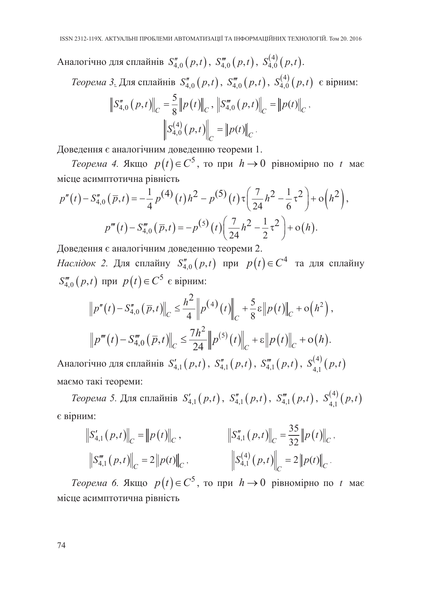Аналогічно для сплайнів  $S_{4,0}''(p,t)$ ,  $S_{4,0}'''(p,t)$ ,  $S_{4,0}^{(4)}(p,t)$ .

*Теорема* 3. Для сплайнів  $S_{4,0}''(p,t)$ ,  $S_{4,0}'''(p,t)$ ,  $S_{4,0}^{(4)}(p,t)$  є вірним:

$$
\|S_{4,0}''(p,t)\|_{C} = \frac{5}{8} \|p(t)\|_{C}, \left\|S_{4,0}'''(p,t)\right\|_{C} = \|p(t)\|_{C},
$$

$$
\left\|S_{4,0}^{(4)}(p,t)\right\|_{C} = \|p(t)\|_{C}.
$$

Доведення є аналогічним доведенню теореми 1.

*Теорема 4.* Якщо  $p(t) \in C^5$ , то при  $h \to 0$  рівномірно по *t* має місце асимптотична рівність

$$
p''(t) - S_{4,0}''(\bar{p}, t) = -\frac{1}{4} p^{(4)}(t) h^2 - p^{(5)}(t) \tau \left(\frac{7}{24} h^2 - \frac{1}{6} \tau^2\right) + o\left(h^2\right),
$$
  

$$
p'''(t) - S_{4,0}'''(\bar{p}, t) = -p^{(5)}(t) \left(\frac{7}{24} h^2 - \frac{1}{2} \tau^2\right) + o(h).
$$

Доведення є аналогічним доведенню теореми 2.

*Наслідок* 2. Для сплайну  $S_{4,0}''(p,t)$  при  $p(t) \in C^4$  та для сплайну  $S_{40}'''(p,t)$  при  $p(t) \in C^5$  є вірним:

$$
\|p''(t) - S_{4,0}''(\bar{p}, t)\|_{C} \leq \frac{h^2}{4} \|p^{(4)}(t)\|_{C} + \frac{5}{8}\varepsilon \|p(t)\|_{C} + o(h^2),
$$
  

$$
\|p'''(t) - S_{4,0}'''(\bar{p}, t)\|_{C} \leq \frac{7h^2}{24} \|p^{(5)}(t)\|_{C} + \varepsilon \|p(t)\|_{C} + o(h).
$$

Аналогічно для сплайнів  $S'_{4,1}(p,t)$ ,  $S''_{4,1}(p,t)$ ,  $S'''_{4,1}(p,t)$ ,  $S^{(4)}_{4,1}(p,t)$ маємо такі теореми:

*Теорема 5.* Для сплайнів  $S'_{4,1}(p,t)$ ,  $S''_{4,1}(p,t)$ ,  $S'''_{4,1}(p,t)$ ,  $S^{(4)}_{4,1}(p,t)$ є вірним:

$$
\begin{aligned}\n\left\|S_{4,1}'\left(p,t\right)\right\|_{C} &= \left\|p\left(t\right)\right\|_{C}, & \left\|S_{4,1}''\left(p,t\right)\right\|_{C} &= \frac{35}{32} \left\|p\left(t\right)\right\|_{C}, \\
\left\|S_{4,1}''\left(p,t\right)\right\|_{C} &= 2 \left\|p\left(t\right)\right\|_{C}, & \left\|S_{4,1}^{(4)}\left(p,t\right)\right\|_{C} &= 2 \left\|p\left(t\right)\right\|_{C}.\n\end{aligned}
$$

*Теорема 6.* Якщо  $p(t) \in C^5$ , то при  $h \to 0$  рівномірно по t має місце асимптотична рівність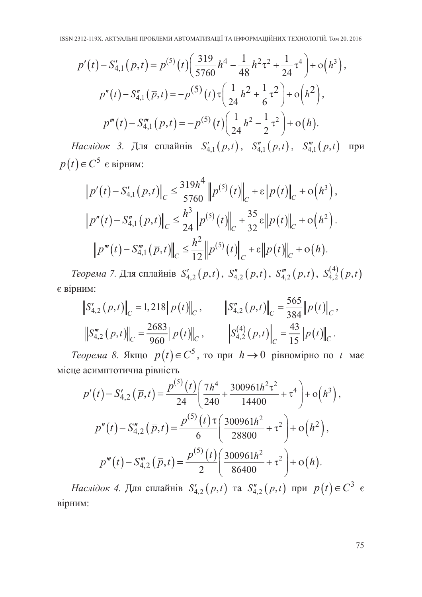$$
p'(t) - S'_{4,1}(\overline{p}, t) = p^{(5)}(t) \left( \frac{319}{5760} h^4 - \frac{1}{48} h^2 \tau^2 + \frac{1}{24} \tau^4 \right) + o(h^3),
$$
  
\n
$$
p''(t) - S''_{4,1}(\overline{p}, t) = -p^{(5)}(t) \tau \left( \frac{1}{24} h^2 + \frac{1}{6} \tau^2 \right) + o(h^2),
$$
  
\n
$$
p'''(t) - S'''_{4,1}(\overline{p}, t) = -p^{(5)}(t) \left( \frac{1}{24} h^2 - \frac{1}{2} \tau^2 \right) + o(h).
$$

*Наслідок* 3. Для сплайнів  $S'_{4,1}(p,t)$ ,  $S''_{4,1}(p,t)$ ,  $S'''_{4,1}(p,t)$ при  $p(t) \in C^5$  є вірним:

$$
\|p'(t) - S'_{4,1}(\bar{p}, t)\|_{C} \leq \frac{319h^4}{5760} \|p^{(5)}(t)\|_{C} + \varepsilon \|p(t)\|_{C} + o(h^3),
$$
  

$$
\|p''(t) - S''_{4,1}(\bar{p}, t)\|_{C} \leq \frac{h^3}{24} \|p^{(5)}(t)\|_{C} + \frac{35}{32} \varepsilon \|p(t)\|_{C} + o(h^2).
$$
  

$$
\|p'''(t) - S''_{4,1}(\bar{p}, t)\|_{C} \leq \frac{h^2}{12} \|p^{(5)}(t)\|_{C} + \varepsilon \|p(t)\|_{C} + o(h).
$$

*Теорема* 7. Для сплайнів  $S'_{4,2}(p,t)$ ,  $S''_{4,2}(p,t)$ ,  $S'''_{4,2}(p,t)$ ,  $S^{(4)}_{4,2}(p,t)$ є вірним:  $rac{1}{\sqrt{2}}$ 

$$
\|S_{4,2}^{\prime}(p,t)\|_{C} = 1,218 \|p(t)\|_{C}, \qquad \|S_{4,2}^{\prime\prime}(p,t)\|_{C} = \frac{565}{384} \|p(t)\|_{C},
$$
  

$$
\|S_{4,2}^{\prime\prime}(p,t)\|_{C} = \frac{2683}{960} \|p(t)\|_{C}, \qquad \left\|S_{4,2}^{(4)}(p,t)\right\|_{C} = \frac{43}{15} \|p(t)\|_{C}.
$$

*Теорема 8.* Якщо  $p(t) \in C^5$ , то при  $h \to 0$  рівномірно по *t* має місце асимптотична рівність

$$
p'(t) - S'_{4,2}(\bar{p}, t) = \frac{p^{(5)}(t)}{24} \left( \frac{7h^4}{240} + \frac{300961h^2\tau^2}{14400} + \tau^4 \right) + o(h^3),
$$
  
\n
$$
p''(t) - S''_{4,2}(\bar{p}, t) = \frac{p^{(5)}(t)\tau}{6} \left( \frac{300961h^2}{28800} + \tau^2 \right) + o(h^2),
$$
  
\n
$$
p'''(t) - S''_{4,2}(\bar{p}, t) = \frac{p^{(5)}(t)}{2} \left( \frac{300961h^2}{86400} + \tau^2 \right) + o(h).
$$

*Наслідок 4.* Для сплайнів  $S'_{4,2}(p,t)$  та  $S''_{4,2}(p,t)$  при  $p(t) \in C^3$  є вірним: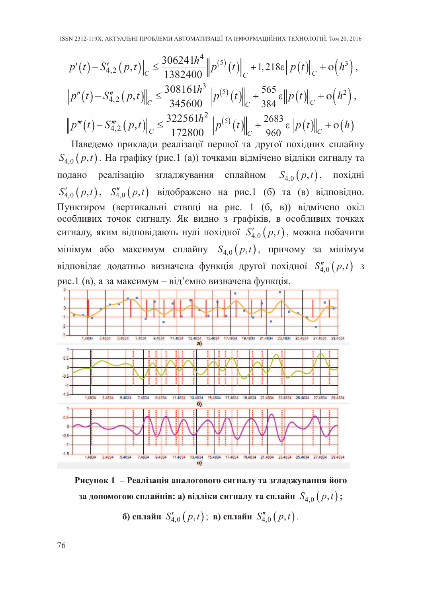$$
\|p'(t) - S'_{4,2}(\bar{p},t)\|_{C} \le \frac{306241h^4}{1382400} \|p^{(5)}(t)\|_{C} + 1,218\varepsilon \|p(t)\|_{C} + \mathcal{O}(h^3),
$$
  

$$
\|p''(t) - S''_{4,2}(\bar{p},t)\|_{C} \le \frac{308161h^3}{345600} \|p^{(5)}(t)\|_{C} + \frac{565}{384}\varepsilon \|p(t)\|_{C} + \mathcal{O}(h^2),
$$
  

$$
\|p'''(t) - S''_{4,2}(\bar{p},t)\|_{C} \le \frac{322561h^2}{172800} \|p^{(5)}(t)\|_{C} + \frac{2683}{960}\varepsilon \|p(t)\|_{C} + \mathcal{O}(h)
$$

Наведемо приклади реалізації першої та другої похідних сплайну  $S_{4.0}(p,t)$ . На графіку (рис.1 (а)) точками відмічено відліки сигналу та подано реалізацію згладжування сплайном  $S_{4,0}(p,t)$ , похілні  $S'_{4,0}(p,t)$ ,  $S''_{4,0}(p,t)$  відображено на рис.1 (б) та (в) відповідно. Пунктиром (вертикальні ствпці на рис. 1 (б, в)) відмічено окіл особливих точок сигналу. Як видно з графіків, в особливих точках сигналу, яким відповідають нулі похідної  $S'_{4,0}(p,t)$ , можна побачити мінімум або максимум сплайну  $S_{4,0}(p,t)$ , причому за мінімум відповідає додатньо визначена функція другої похідної  $S''_{4,0}(p,t)$  з рис.1 (в), а за максимум - від'ємно визначена функція.



Рисунок 1 - Реалізація аналогового сигналу та згладжування його за допомогою сплайнів: а) відліки сигналу та сплайн  $S_{4,0}(p,t)$ ; б) сплайн  $S'_{4,0}(p,t)$ ; в) сплайн  $S''_{4,0}(p,t)$ .